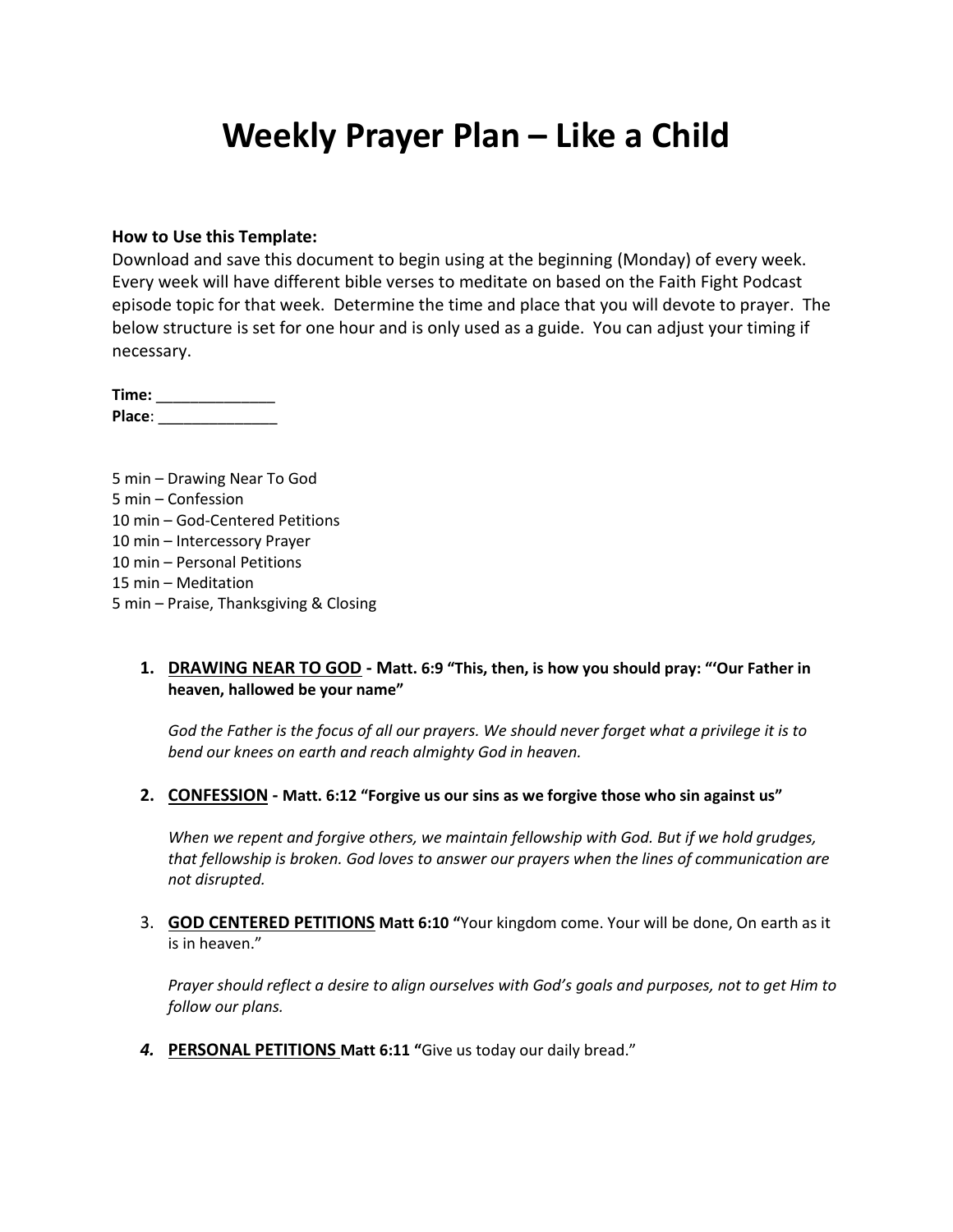# **Weekly Prayer Plan – Like a Child**

#### **How to Use this Template:**

Download and save this document to begin using at the beginning (Monday) of every week. Every week will have different bible verses to meditate on based on the Faith Fight Podcast episode topic for that week. Determine the time and place that you will devote to prayer. The below structure is set for one hour and is only used as a guide. You can adjust your timing if necessary.

**Time:** \_\_\_\_\_\_\_\_\_\_\_\_\_\_ **Place**: \_\_\_\_\_\_\_\_\_\_\_\_\_\_

5 min – Drawing Near To God 5 min – Confession 10 min – God-Centered Petitions 10 min – Intercessory Prayer 10 min – Personal Petitions 15 min – Meditation 5 min – Praise, Thanksgiving & Closing

#### **1. DRAWING NEAR TO GOD - Matt. 6:9 "This, then, is how you should pray: "'Our Father in heaven, hallowed be your name"**

*God the Father is the focus of all our prayers. We should never forget what a privilege it is to bend our knees on earth and reach almighty God in heaven.*

**2. CONFESSION - Matt. 6:12 "Forgive us our sins as we forgive those who sin against us"**

*When we repent and forgive others, we maintain fellowship with God. But if we hold grudges, that fellowship is broken. God loves to answer our prayers when the lines of communication are not disrupted.*

3. **GOD CENTERED PETITIONS Matt 6:10 "**Your kingdom come. Your will be done, On earth as it is in heaven."

*Prayer should reflect a desire to align ourselves with God's goals and purposes, not to get Him to follow our plans.*

*4.* **PERSONAL PETITIONS Matt 6:11 "**Give us today our daily bread."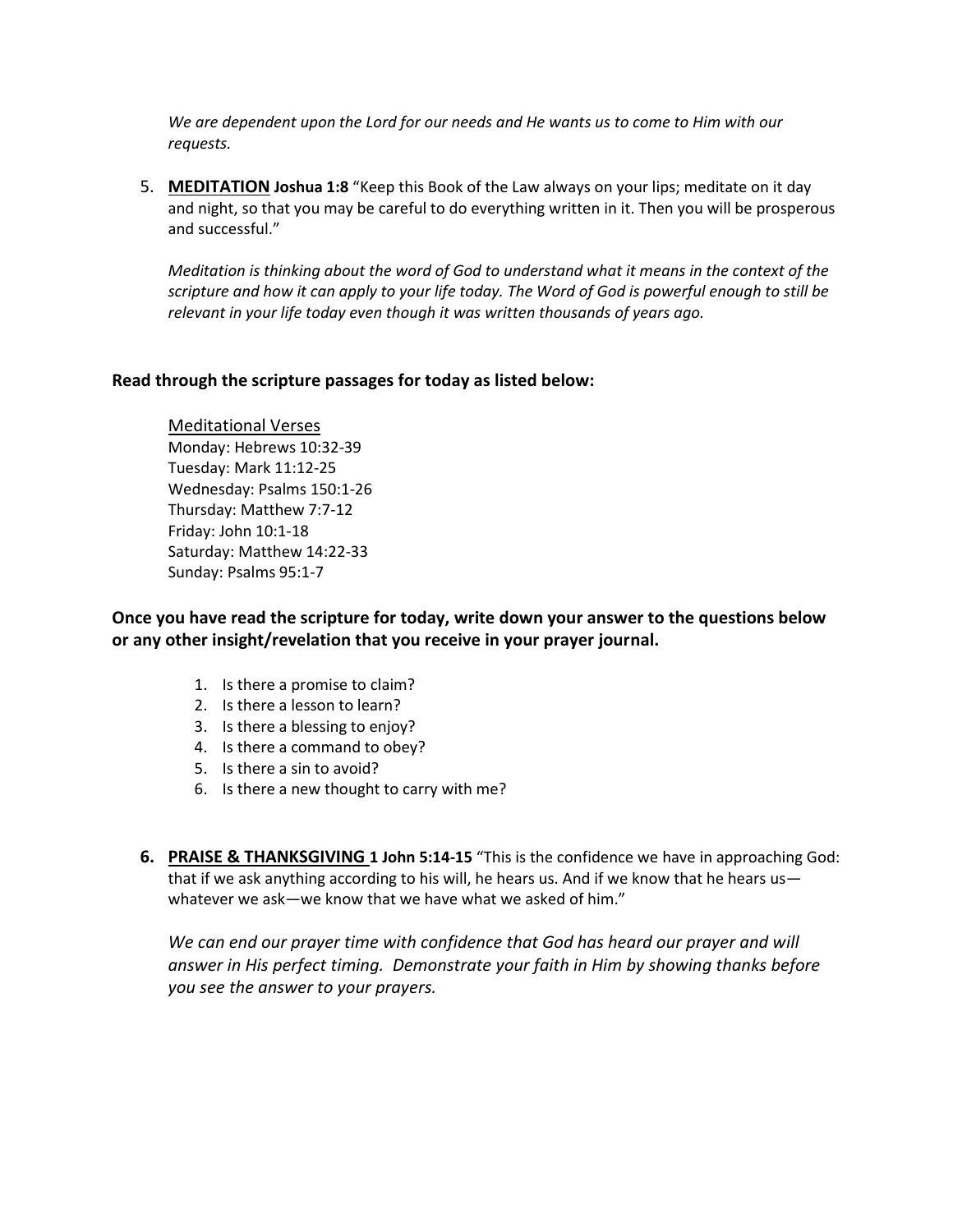*We are dependent upon the Lord for our needs and He wants us to come to Him with our requests.*

5. **MEDITATION Joshua 1:8** "Keep this Book of the Law always on your lips; meditate on it day and night, so that you may be careful to do everything written in it. Then you will be prosperous and successful."

*Meditation is thinking about the word of God to understand what it means in the context of the scripture and how it can apply to your life today. The Word of God is powerful enough to still be relevant in your life today even though it was written thousands of years ago.*

#### **Read through the scripture passages for today as listed below:**

Meditational Verses Monday: Hebrews 10:32-39 Tuesday: Mark 11:12-25 Wednesday: Psalms 150:1-26 Thursday: Matthew 7:7-12 Friday: John 10:1-18 Saturday: Matthew 14:22-33 Sunday: Psalms 95:1-7

**Once you have read the scripture for today, write down your answer to the questions below or any other insight/revelation that you receive in your prayer journal.** 

- 1. Is there a promise to claim?
- 2. Is there a lesson to learn?
- 3. Is there a blessing to enjoy?
- 4. Is there a command to obey?
- 5. Is there a sin to avoid?
- 6. Is there a new thought to carry with me?
- **6. PRAISE & THANKSGIVING 1 John 5:14-15** "This is the confidence we have in approaching God: that if we ask anything according to his will, he hears us. And if we know that he hears us whatever we ask—we know that we have what we asked of him."

We can end our prayer time with confidence that God has heard our prayer and will *answer in His perfect timing. Demonstrate your faith in Him by showing thanks before you see the answer to your prayers.*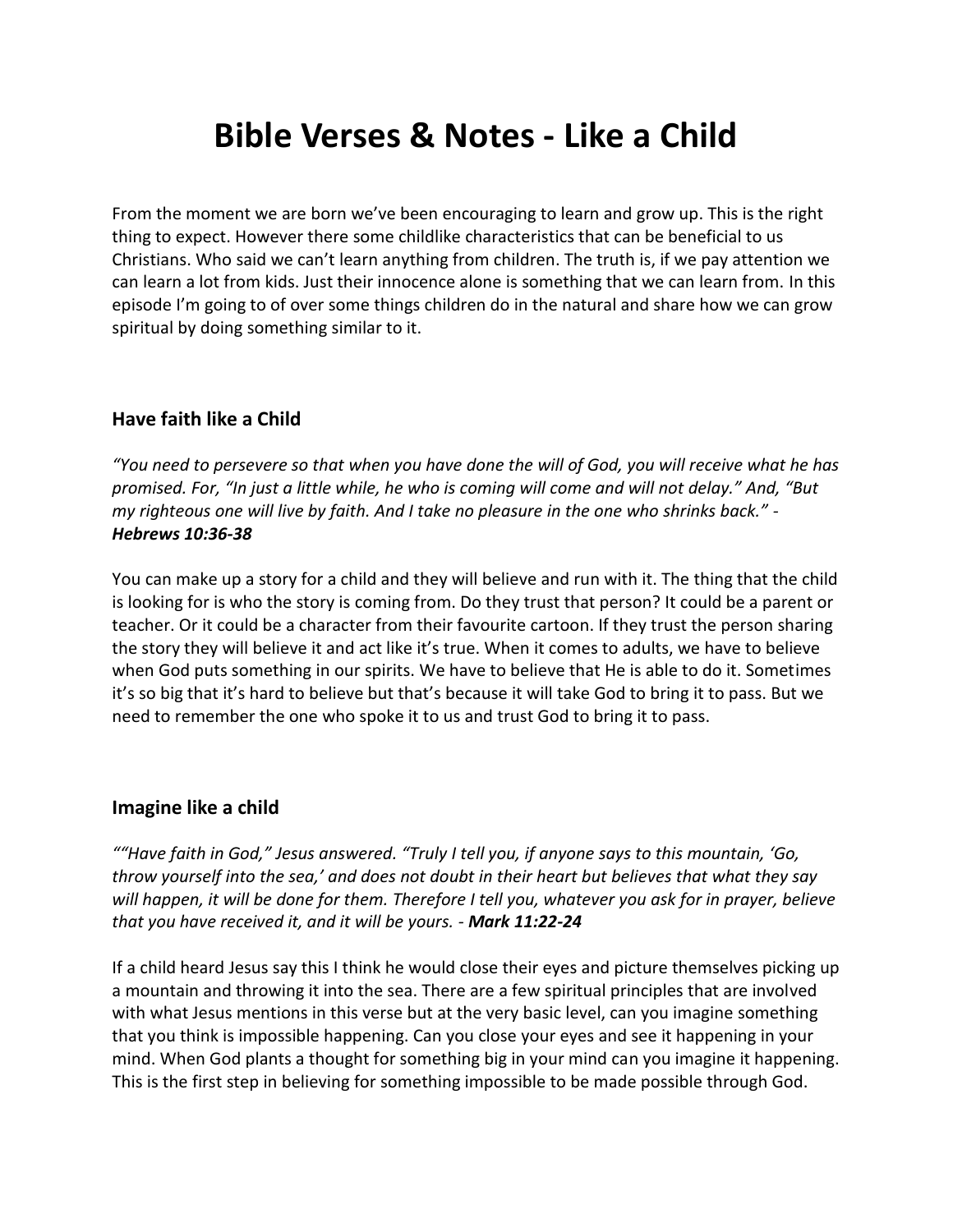# **Bible Verses & Notes - Like a Child**

From the moment we are born we've been encouraging to learn and grow up. This is the right thing to expect. However there some childlike characteristics that can be beneficial to us Christians. Who said we can't learn anything from children. The truth is, if we pay attention we can learn a lot from kids. Just their innocence alone is something that we can learn from. In this episode I'm going to of over some things children do in the natural and share how we can grow spiritual by doing something similar to it.

## **Have faith like a Child**

*"You need to persevere so that when you have done the will of God, you will receive what he has promised. For, "In just a little while, he who is coming will come and will not delay." And, "But my righteous one will live by faith. And I take no pleasure in the one who shrinks back." - Hebrews 10:36-38*

You can make up a story for a child and they will believe and run with it. The thing that the child is looking for is who the story is coming from. Do they trust that person? It could be a parent or teacher. Or it could be a character from their favourite cartoon. If they trust the person sharing the story they will believe it and act like it's true. When it comes to adults, we have to believe when God puts something in our spirits. We have to believe that He is able to do it. Sometimes it's so big that it's hard to believe but that's because it will take God to bring it to pass. But we need to remember the one who spoke it to us and trust God to bring it to pass.

### **Imagine like a child**

*""Have faith in God," Jesus answered. "Truly I tell you, if anyone says to this mountain, 'Go, throw yourself into the sea,' and does not doubt in their heart but believes that what they say will happen, it will be done for them. Therefore I tell you, whatever you ask for in prayer, believe that you have received it, and it will be yours. - Mark 11:22-24*

If a child heard Jesus say this I think he would close their eyes and picture themselves picking up a mountain and throwing it into the sea. There are a few spiritual principles that are involved with what Jesus mentions in this verse but at the very basic level, can you imagine something that you think is impossible happening. Can you close your eyes and see it happening in your mind. When God plants a thought for something big in your mind can you imagine it happening. This is the first step in believing for something impossible to be made possible through God.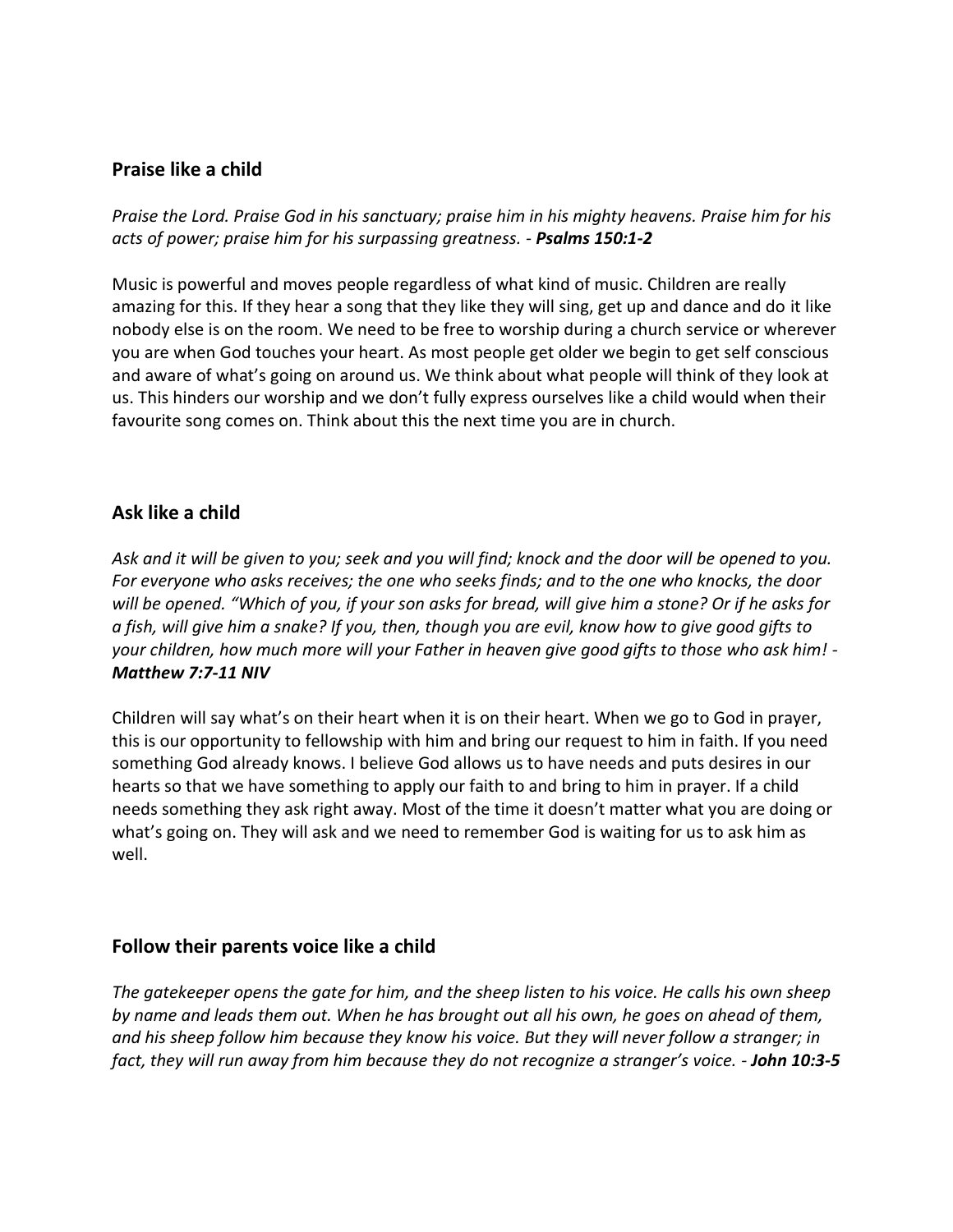## **Praise like a child**

*Praise the Lord. Praise God in his sanctuary; praise him in his mighty heavens. Praise him for his acts of power; praise him for his surpassing greatness. - Psalms 150:1-2*

Music is powerful and moves people regardless of what kind of music. Children are really amazing for this. If they hear a song that they like they will sing, get up and dance and do it like nobody else is on the room. We need to be free to worship during a church service or wherever you are when God touches your heart. As most people get older we begin to get self conscious and aware of what's going on around us. We think about what people will think of they look at us. This hinders our worship and we don't fully express ourselves like a child would when their favourite song comes on. Think about this the next time you are in church.

### **Ask like a child**

*Ask and it will be given to you; seek and you will find; knock and the door will be opened to you. For everyone who asks receives; the one who seeks finds; and to the one who knocks, the door will be opened. "Which of you, if your son asks for bread, will give him a stone? Or if he asks for a fish, will give him a snake? If you, then, though you are evil, know how to give good gifts to your children, how much more will your Father in heaven give good gifts to those who ask him! - Matthew 7:7-11 NIV*

Children will say what's on their heart when it is on their heart. When we go to God in prayer, this is our opportunity to fellowship with him and bring our request to him in faith. If you need something God already knows. I believe God allows us to have needs and puts desires in our hearts so that we have something to apply our faith to and bring to him in prayer. If a child needs something they ask right away. Most of the time it doesn't matter what you are doing or what's going on. They will ask and we need to remember God is waiting for us to ask him as well.

### **Follow their parents voice like a child**

*The gatekeeper opens the gate for him, and the sheep listen to his voice. He calls his own sheep by name and leads them out. When he has brought out all his own, he goes on ahead of them, and his sheep follow him because they know his voice. But they will never follow a stranger; in fact, they will run away from him because they do not recognize a stranger's voice. - John 10:3-5*